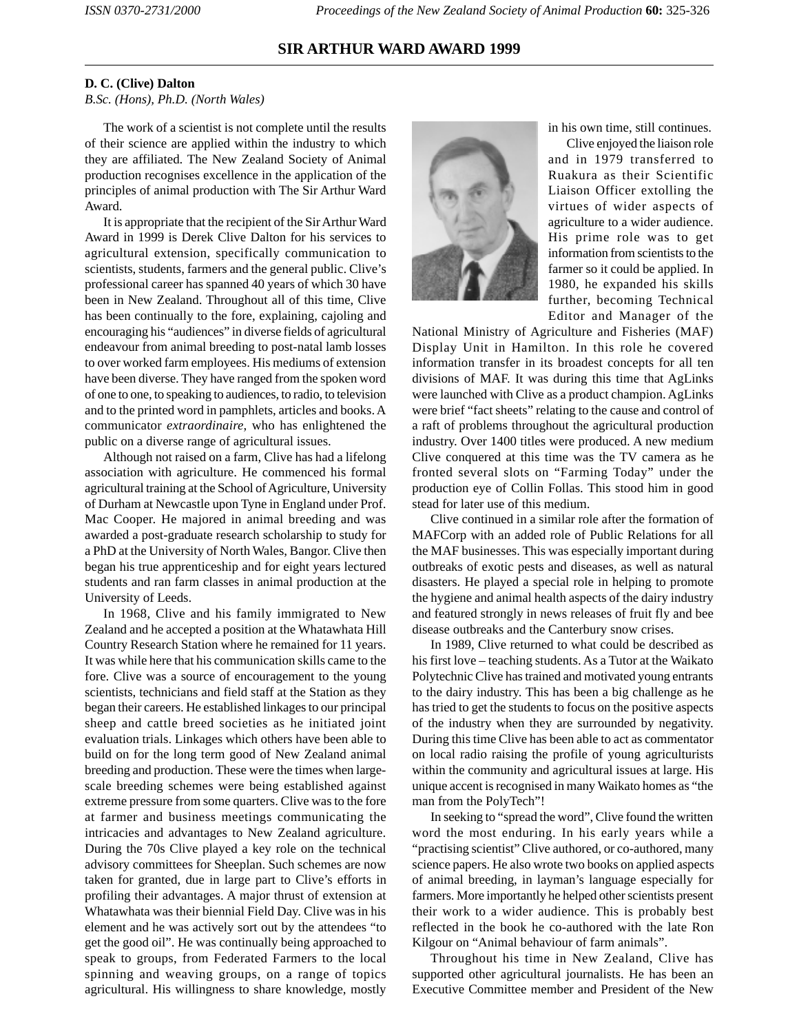## **SIR ARTHUR WARD AWARD 1999**

## **D. C. (Clive) Dalton**

*B.Sc. (Hons), Ph.D. (North Wales)*

The work of a scientist is not complete until the results of their science are applied within the industry to which they are affiliated. The New Zealand Society of Animal production recognises excellence in the application of the principles of animal production with The Sir Arthur Ward Award.

It is appropriate that the recipient of the Sir Arthur Ward Award in 1999 is Derek Clive Dalton for his services to agricultural extension, specifically communication to scientists, students, farmers and the general public. Clive's professional career has spanned 40 years of which 30 have been in New Zealand. Throughout all of this time, Clive has been continually to the fore, explaining, cajoling and encouraging his "audiences" in diverse fields of agricultural endeavour from animal breeding to post-natal lamb losses to over worked farm employees. His mediums of extension have been diverse. They have ranged from the spoken word of one to one, to speaking to audiences, to radio, to television and to the printed word in pamphlets, articles and books. A communicator *extraordinaire*, who has enlightened the public on a diverse range of agricultural issues.

Although not raised on a farm, Clive has had a lifelong association with agriculture. He commenced his formal agricultural training at the School of Agriculture, University of Durham at Newcastle upon Tyne in England under Prof. Mac Cooper. He majored in animal breeding and was awarded a post-graduate research scholarship to study for a PhD at the University of North Wales, Bangor. Clive then began his true apprenticeship and for eight years lectured students and ran farm classes in animal production at the University of Leeds.

In 1968, Clive and his family immigrated to New Zealand and he accepted a position at the Whatawhata Hill Country Research Station where he remained for 11 years. It was while here that his communication skills came to the fore. Clive was a source of encouragement to the young scientists, technicians and field staff at the Station as they began their careers. He established linkages to our principal sheep and cattle breed societies as he initiated joint evaluation trials. Linkages which others have been able to build on for the long term good of New Zealand animal breeding and production. These were the times when largescale breeding schemes were being established against extreme pressure from some quarters. Clive was to the fore at farmer and business meetings communicating the intricacies and advantages to New Zealand agriculture. During the 70s Clive played a key role on the technical advisory committees for Sheeplan. Such schemes are now taken for granted, due in large part to Clive's efforts in profiling their advantages. A major thrust of extension at Whatawhata was their biennial Field Day. Clive was in his element and he was actively sort out by the attendees "to get the good oil". He was continually being approached to speak to groups, from Federated Farmers to the local spinning and weaving groups, on a range of topics agricultural. His willingness to share knowledge, mostly



in his own time, still continues.

Clive enjoyed the liaison role and in 1979 transferred to Ruakura as their Scientific Liaison Officer extolling the virtues of wider aspects of agriculture to a wider audience. His prime role was to get information from scientists to the farmer so it could be applied. In 1980, he expanded his skills further, becoming Technical Editor and Manager of the

National Ministry of Agriculture and Fisheries (MAF) Display Unit in Hamilton. In this role he covered information transfer in its broadest concepts for all ten divisions of MAF. It was during this time that AgLinks were launched with Clive as a product champion. AgLinks were brief "fact sheets" relating to the cause and control of a raft of problems throughout the agricultural production industry. Over 1400 titles were produced. A new medium Clive conquered at this time was the TV camera as he fronted several slots on "Farming Today" under the production eye of Collin Follas. This stood him in good stead for later use of this medium.

Clive continued in a similar role after the formation of MAFCorp with an added role of Public Relations for all the MAF businesses. This was especially important during outbreaks of exotic pests and diseases, as well as natural disasters. He played a special role in helping to promote the hygiene and animal health aspects of the dairy industry and featured strongly in news releases of fruit fly and bee disease outbreaks and the Canterbury snow crises.

In 1989, Clive returned to what could be described as his first love – teaching students. As a Tutor at the Waikato Polytechnic Clive has trained and motivated young entrants to the dairy industry. This has been a big challenge as he has tried to get the students to focus on the positive aspects of the industry when they are surrounded by negativity. During this time Clive has been able to act as commentator on local radio raising the profile of young agriculturists within the community and agricultural issues at large. His unique accent is recognised in many Waikato homes as "the man from the PolyTech"!

In seeking to "spread the word", Clive found the written word the most enduring. In his early years while a "practising scientist" Clive authored, or co-authored, many science papers. He also wrote two books on applied aspects of animal breeding, in layman's language especially for farmers. More importantly he helped other scientists present their work to a wider audience. This is probably best reflected in the book he co-authored with the late Ron Kilgour on "Animal behaviour of farm animals".

Throughout his time in New Zealand, Clive has supported other agricultural journalists. He has been an Executive Committee member and President of the New